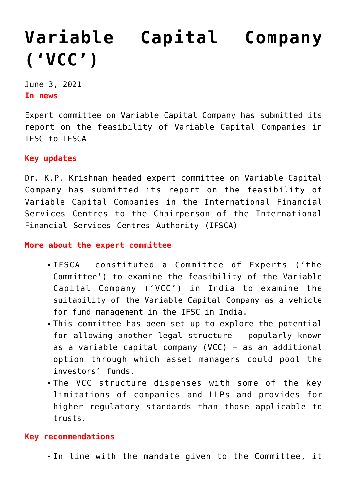## **[Variable Capital Company](https://journalsofindia.com/variable-capital-company-vcc/) [\('VCC'\)](https://journalsofindia.com/variable-capital-company-vcc/)**

June 3, 2021 **In news** 

Expert committee on Variable Capital Company has submitted its report on the feasibility of Variable Capital Companies in IFSC to IFSCA

## **Key updates**

Dr. K.P. Krishnan headed expert committee on Variable Capital Company has submitted its report on the feasibility of Variable Capital Companies in the International Financial Services Centres to the Chairperson of the International Financial Services Centres Authority (IFSCA)

**More about the expert committee**

- IFSCA constituted a Committee of Experts ('the Committee') to examine the feasibility of the Variable Capital Company ('VCC') in India to examine the suitability of the Variable Capital Company as a vehicle for fund management in the IFSC in India.
- This committee has been set up to explore the potential for allowing another legal structure – popularly known as a variable capital company (VCC)  $-$  as an additional option through which asset managers could pool the investors' funds.
- The VCC structure dispenses with some of the key limitations of companies and LLPs and provides for higher regulatory standards than those applicable to trusts.

## **Key recommendations**

In line with the mandate given to the Committee, it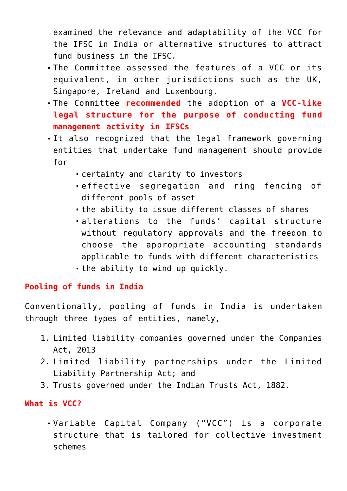examined the relevance and adaptability of the VCC for the IFSC in India or alternative structures to attract fund business in the IFSC.

- The Committee assessed the features of a VCC or its equivalent, in other jurisdictions such as the UK, Singapore, Ireland and Luxembourg.
- The Committee **recommended** the adoption of a **VCC-like legal structure for the purpose of conducting fund management activity in IFSCs**
- It also recognized that the legal framework governing entities that undertake fund management should provide for
	- certainty and clarity to investors
	- effective segregation and ring fencing of different pools of asset
	- the ability to issue different classes of shares
	- alterations to the funds' capital structure without regulatory approvals and the freedom to choose the appropriate accounting standards applicable to funds with different characteristics the ability to wind up quickly.

## **Pooling of funds in India**

Conventionally, pooling of funds in India is undertaken through three types of entities, namely,

- 1. Limited liability companies governed under the Companies Act, 2013
- 2. Limited liability partnerships under the Limited Liability Partnership Act; and
- 3. Trusts governed under the Indian Trusts Act, 1882.

**What is VCC?**

Variable Capital Company ("VCC") is a corporate structure that is tailored for collective investment schemes